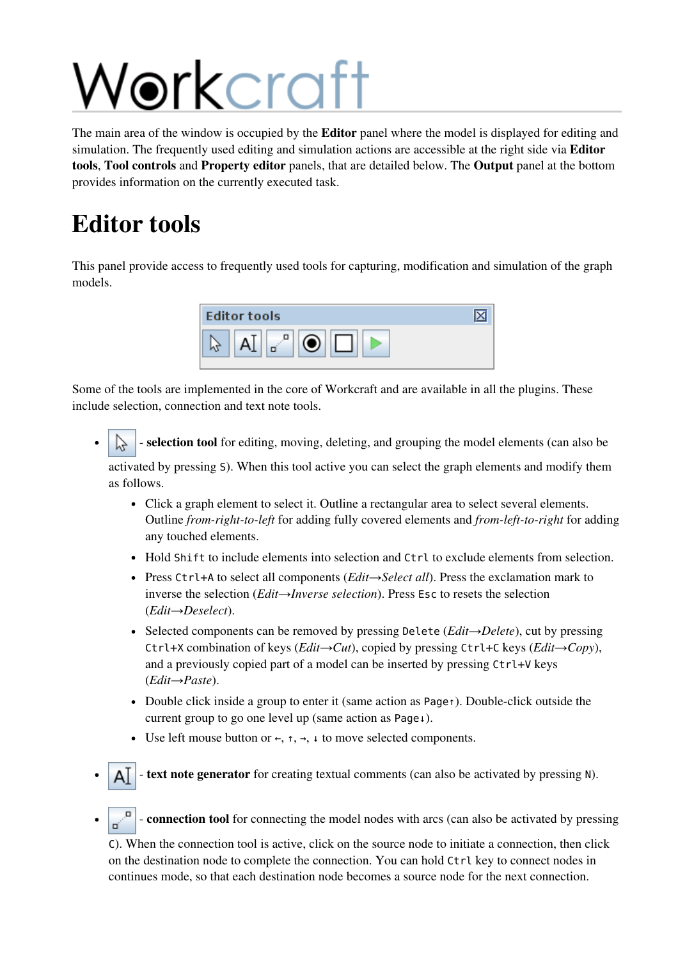## Workcraft

The main area of the window is occupied by the **Editor** panel where the model is displayed for editing and simulation. The frequently used editing and simulation actions are accessible at the right side via **Editor** tools, Tool controls and Property editor panels, that are detailed below. The Output panel at the bottom provides information on the currently executed task.

## Editor tools

This panel provide access to frequently used tools for capturing, modification and simulation of the graph models.



Some of the tools are implemented in the core of Workcraft and are available in all the plugins. These include selection, connection and text note tools.

- selection tool for editing, moving, deleting, and grouping the model elements (can also be activated by pressing S). When this tool active you can select the graph elements and modify them as follows.
	- Click a graph element to select it. Outline a rectangular area to select several elements. Outline *from-right-to-left* for adding fully covered elements and *from-left-to-right* for adding any touched elements.
	- Hold Shift to include elements into selection and Ctrl to exclude elements from selection.
	- Press Ctrl+Ato select all components (*Edit→Select all*). Press the exclamation mark to inverse the selection (*Edit→Inverse selection*). Press Escto resets the selection (*Edit→Deselect*).
	- Selected components can be removed by pressing Delete(*Edit→Delete*), cut by pressing Ctrl+Xcombination of keys (*Edit→Cut*), copied by pressing Ctrl+Ckeys (*Edit→Copy*), and a previously copied part of a model can be inserted by pressing Ctrl+V keys (*Edit→Paste*).
	- Double click inside a group to enter it (same action as Page↑). Double-click outside the current group to go one level up (same action as Page↓).
	- Use left mouse button or  $\leftarrow$ ,  $\uparrow$ ,  $\rightarrow$ ,  $\downarrow$  to move selected components.
- text note generator for creating textual comments (can also be activated by pressing N).
- connection tool for connecting the model nodes with arcs (can also be activated by pressing

C). When the connection tool is active, click on the source node to initiate a connection, then click on the destination node to complete the connection. You can hold Ctrlkey to connect nodes in continues mode, so that each destination node becomes a source node for the next connection.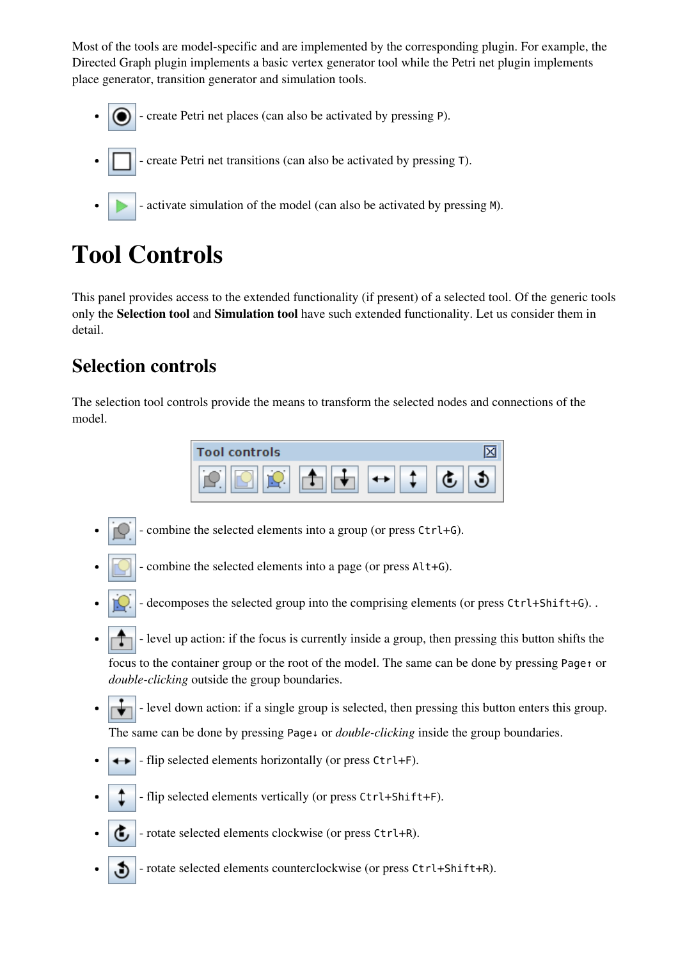Most of the tools are model-specific and are implemented by the corresponding plugin. For example, the Directed Graph plugin implements a basic vertex generator tool while the Petri net plugin implements place generator, transition generator and simulation tools.

- create Petri net places (can also be activated by pressing P).
- create Petri net transitions (can also be activated by pressing T).
	- activate simulation of the model (can also be activated by pressing M).

## Tool Controls

This panel provides access to the extended functionality (if present) of a selected tool. Of the generic tools only the Selection tool and Simulation tool have such extended functionality. Let us consider them in detail.

#### Selection controls

The selection tool controls provide the means to transform the selected nodes and connections of the model.

| <b>Tool controls</b> |  |  |
|----------------------|--|--|
| ٠                    |  |  |

- combine the selected elements into a group (or press Ctrl+G).
- combine the selected elements into a page (or press Alt+G).
- decomposes the selected group into the comprising elements (or press Ctrl+Shift+G). .
- level up action: if the focus is currently inside a group, then pressing this button shifts the focus to the container group or the root of the model. The same can be done by pressing Page↑or *double-clicking* outside the group boundaries.
- level down action: if a single group is selected, then pressing this button enters this group. The same can be done by pressing Page↓ or *double-clicking* inside the group boundaries.
- flip selected elements horizontally (or press Ctrl+F).
	- flip selected elements vertically (or press Ctrl+Shift+F).
- rotate selected elements clockwise (or press Ctrl+R).
- rotate selected elements counterclockwise (or press Ctrl+Shift+R).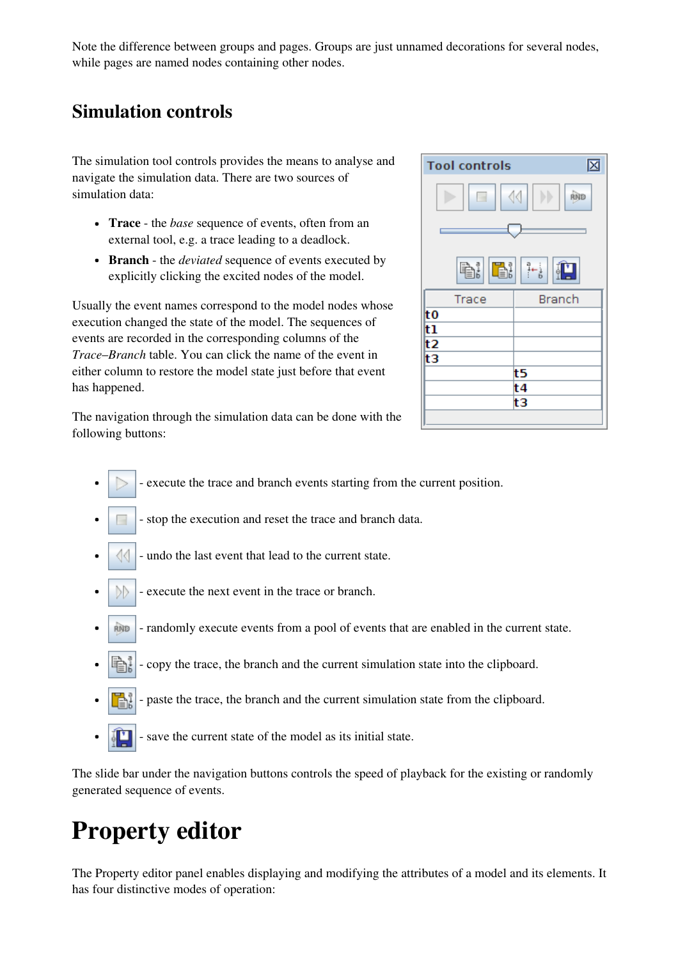Note the difference between groups and pages. Groups are just unnamed decorations for several nodes, while pages are named nodes containing other nodes.

#### Simulation controls

The simulation tool controls provides the means to analyse and navigate the simulation data. There are two sources of simulation data:

- Trace the *base* sequence of events, often from an external tool, e.g. a trace leading to a deadlock.
- Branch the *deviated* sequence of events executed by explicitly clicking the excited nodes of the model.

Usually the event names correspond to the model nodes whose execution changed the state of the model. The sequences of events are recorded in the corresponding columns of the *Trace*–*Branch* table. You can click the name of the event in either column to restore the model state just before that event has happened.



The navigation through the simulation data can be done with the following buttons:

- execute the trace and branch events starting from the current position.
- stop the execution and reset the trace and branch data.
- undo the last event that lead to the current state.
- execute the next event in the trace or branch. DD.
- RIND - randomly execute events from a pool of events that are enabled in the current state.
- 围 - copy the trace, the branch and the current simulation state into the clipboard.
- paste the trace, the branch and the current simulation state from the clipboard. b.
- save the current state of the model as its initial state.

The slide bar under the navigation buttons controls the speed of playback for the existing or randomly generated sequence of events.

## Property editor

The Property editor panel enables displaying and modifying the attributes of a model and its elements. It has four distinctive modes of operation: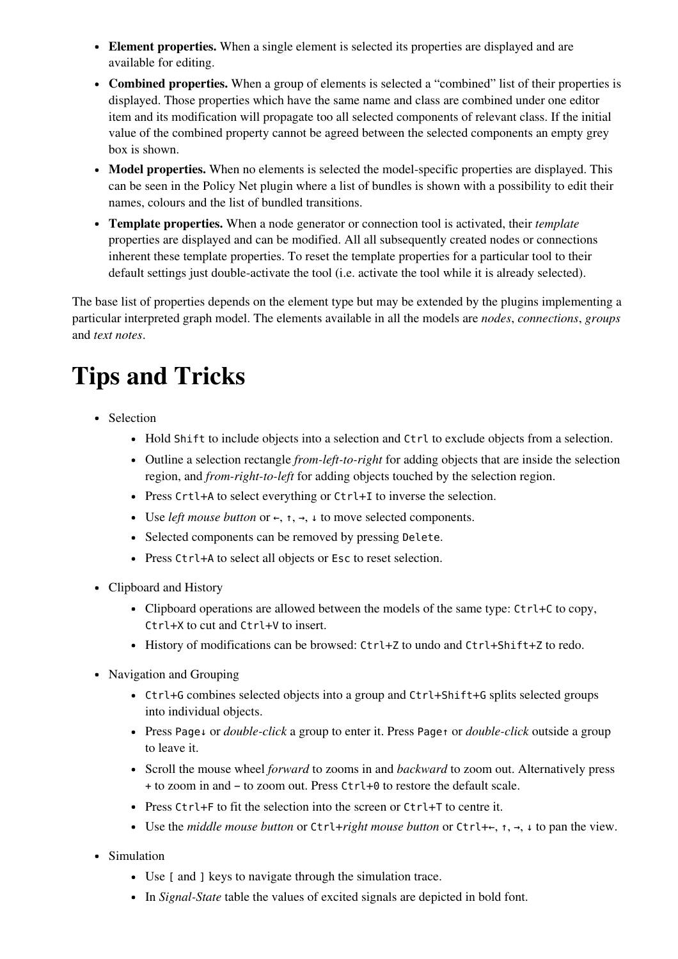- Element properties. When a single element is selected its properties are displayed and are available for editing.
- Combined properties. When a group of elements is selected a "combined" list of their properties is displayed. Those properties which have the same name and class are combined under one editor item and its modification will propagate too all selected components of relevant class. If the initial value of the combined property cannot be agreed between the selected components an empty grey box is shown.
- Model properties. When no elements is selected the model-specific properties are displayed. This can be seen in the Policy Net plugin where a list of bundles is shown with a possibility to edit their names, colours and the list of bundled transitions.
- Template properties. When a node generator or connection tool is activated, their *template* properties are displayed and can be modified. All all subsequently created nodes or connections inherent these template properties. To reset the template properties for a particular tool to their default settings just double-activate the tool (i.e. activate the tool while it is already selected).

The base list of properties depends on the element type but may be extended by the plugins implementing a particular interpreted graph model. The elements available in all the models are *nodes*, *connections*, *groups* and *text notes*.

## Tips and Tricks

- Selection
	- Hold Shift to include objects into a selection and Ctrl to exclude objects from a selection.
	- Outline a selection rectangle *from-left-to-right* for adding objects that are inside the selection region, and *from-right-to-left* for adding objects touched by the selection region.
	- Press Crtl+A to select everything or Ctrl+I to inverse the selection.
	- Use *left mouse button* or ←, ↑, →, ↓to move selected components.
	- Selected components can be removed by pressing Delete.
	- Press Ctrl+A to select all objects or Esc to reset selection.
- Clipboard and History
	- Clipboard operations are allowed between the models of the same type:  $Ctrl+C$  to copy, Ctrl+X to cut and Ctrl+V to insert.
	- History of modifications can be browsed: Ctrl+Z to undo and Ctrl+Shift+Z to redo.
- Navigation and Grouping
	- Ctrl+G combines selected objects into a group and Ctrl+Shift+G splits selected groups into individual objects.
	- Press Page↓or *double-click* a group to enter it. Press Page↑or *double-click* outside a group to leave it.
	- Scroll the mouse wheel *forward* to zooms in and *backward* to zoom out. Alternatively press +to zoom in and −to zoom out. Press Ctrl+0to restore the default scale.
	- Press Ctrl  $+F$  to fit the selection into the screen or Ctrl  $+T$  to centre it.
	- Use the *middle mouse button* or Ctrl+*right mouse button* or Ctrl+←, ↑, →, ↓to pan the view.
- Simulation
	- Use [ and ] keys to navigate through the simulation trace.
	- In *Signal-State* table the values of excited signals are depicted in bold font.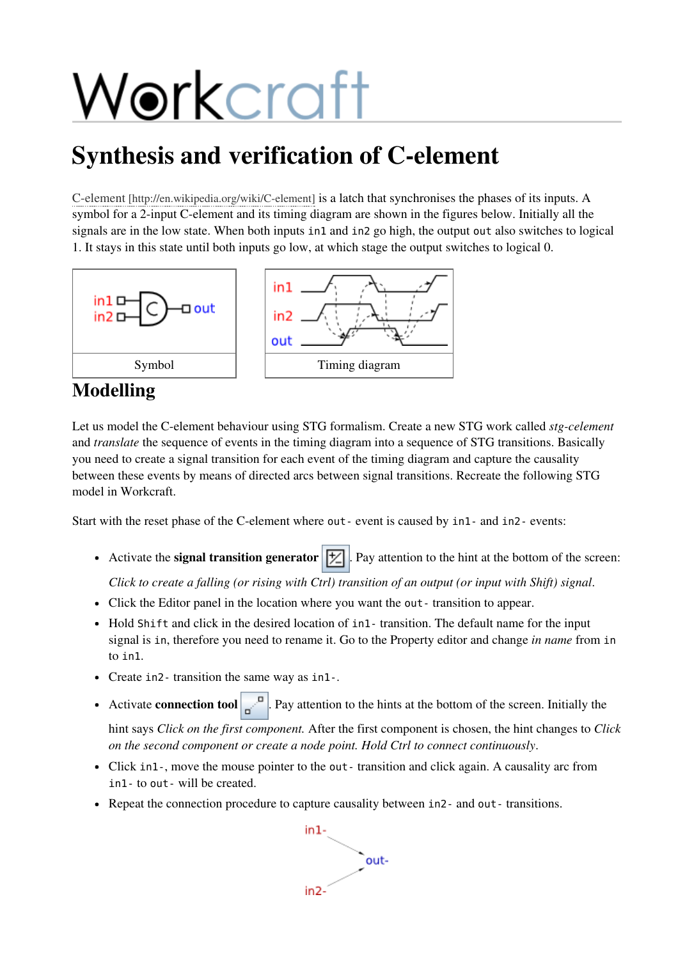# Workcraft

## Synthesis and verification of C-element

C-element [http://en.wikipedia.org/wiki/C-element] is a latch that synchronises the phases of its inputs. A symbol for a 2-input C-element and its timing diagram are shown in the figures below. Initially all the signals are in the low state. When both inputs in1 and in2 go high, the output out also switches to logical 1. It stays in this state until both inputs go low, at which stage the output switches to logical 0.



#### Modelling

Let us model the C-element behaviour using STG formalism. Create a new STG work called *stg-celement* and *translate* the sequence of events in the timing diagram into a sequence of STG transitions. Basically you need to create a signal transition for each event of the timing diagram and capture the causality between these events by means of directed arcs between signal transitions. Recreate the following STG model in Workcraft.

Start with the reset phase of the C-element where out-event is caused by in1-and in2-events:

• Activate the signal transition generator  $\|\mathcal{V}\|$ . Pay attention to the hint at the bottom of the screen:

Click to create a falling (or rising with Ctrl) transition of an output (or input with Shift) signal.

- Click the Editor panel in the location where you want the out-transition to appear.
- Hold Shift and click in the desired location of in1-transition. The default name for the input signal is in, therefore you need to rename it. Go to the Property editor and change *in name* from in to in1.
- Create in 2-transition the same way as in 1-.
- Activate **connection tool**  $\mathbb{R}^{\mathbb{R}^n}$ . Pay attention to the hints at the bottom of the screen. Initially the

hint says *Click on the first component.* After the first component is chosen, the hint changes to *Click on the second component or create a node point. Hold Ctrl to connect continuously*.

- Click in1-, move the mouse pointer to the out-transition and click again. A causality arc from in1-to out-will be created.
- Repeat the connection procedure to capture causality between in2- and out-transitions.

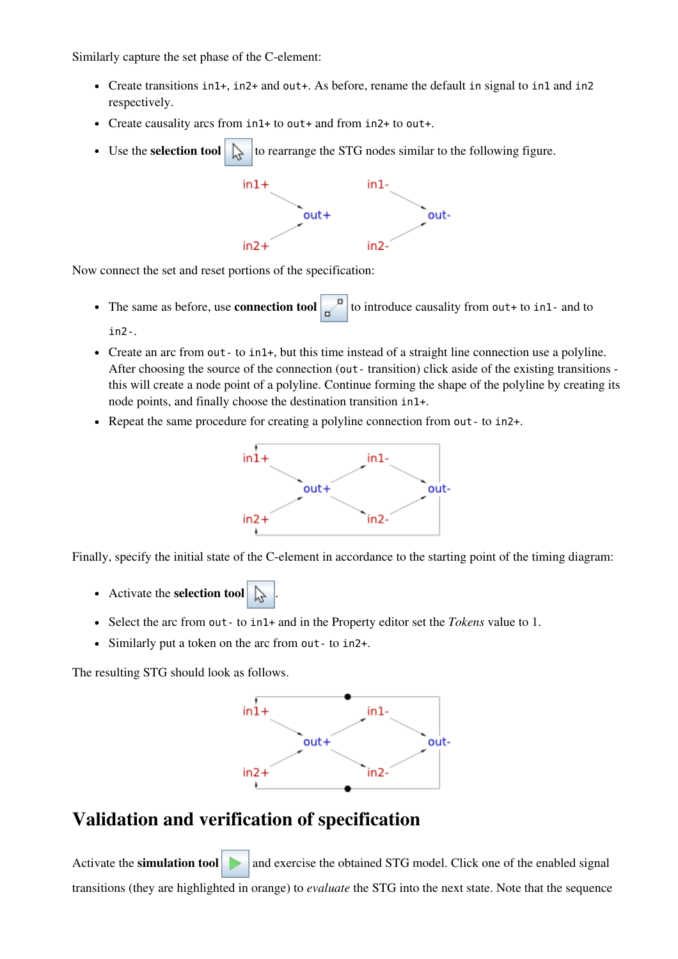Similarly capture the set phase of the C-element:

- Create transitions  $in1+$ ,  $in2+$  and out+. As before, rename the default in signal to in1 and in2 respectively.
- Create causality arcs from in1+to out+and from in2+to out+.
- Use the **selection tool**  $\left\| \cdot \right\|$  to rearrange the STG nodes similar to the following figure.



Now connect the set and reset portions of the specification:

- The same as before, use **connection tool** to introduce causality from out+ to in1- and to in2-.
- Create an arc from out to in1+, but this time instead of a straight line connection use a polyline. After choosing the source of the connection (out - transition) click aside of the existing transitions this will create a node point of a polyline. Continue forming the shape of the polyline by creating its node points, and finally choose the destination transition in1+.
- Repeat the same procedure for creating a polyline connection from out to in2+.



Finally, specify the initial state of the C-element in accordance to the starting point of the timing diagram:

- Activate the selection tool
- Select the arc from out-to in1+and in the Property editor set the *Tokens* value to 1.
- Similarly put a token on the arc from out-to in2+.

The resulting STG should look as follows.



#### Validation and verification of specification

Activate the **simulation tool**  $\Box$  and exercise the obtained STG model. Click one of the enabled signal transitions (they are highlighted in orange) to *evaluate* the STG into the next state. Note that the sequence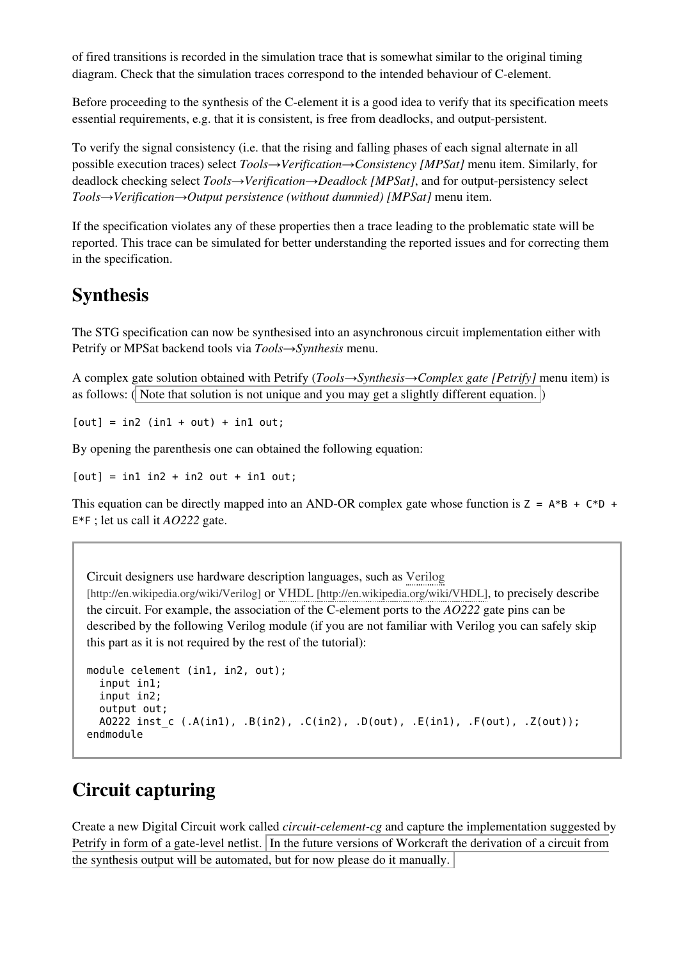of fired transitions is recorded in the simulation trace that is somewhat similar to the original timing diagram. Check that the simulation traces correspond to the intended behaviour of C-element.

Before proceeding to the synthesis of the C-element it is a good idea to verify that its specification meets essential requirements, e.g. that it is consistent, is free from deadlocks, and output-persistent.

To verify the signal consistency (i.e. that the rising and falling phases of each signal alternate in all possible execution traces) select *Tools→Verification→Consistency [MPSat]* menu item. Similarly, for deadlock checking select *Tools→Verification→Deadlock [MPSat]*, and for output-persistency select *Tools→Verification→Output persistence (without dummied) [MPSat]* menu item.

If the specification violates any of these properties then a trace leading to the problematic state will be reported. This trace can be simulated for better understanding the reported issues and for correcting them in the specification.

#### Synthesis

The STG specification can now be synthesised into an asynchronous circuit implementation either with Petrify or MPSat backend tools via *Tools→Synthesis* menu.

A complex gate solution obtained with Petrify (*Tools→Synthesis→Complex gate [Petrify]* menu item) is as follows:  $\langle \mathbf{I} \rangle$  Note that solution is not unique and you may get a slightly different equation.  $\langle \mathbf{I} \rangle$ 

 $[out] = in2 (in1 + out) + in1 out;$ 

By opening the parenthesis one can obtained the following equation:

 $[out] = in1 in2 + in2 out + in1 out;$ 

This equation can be directly mapped into an AND-OR complex gate whose function is  $Z = A*B + C*D +$ E\*F; let us call it *AO222* gate.

Circuit designers use hardware description languages, such as Verilog

[http://en.wikipedia.org/wiki/Verilog] or VHDL [http://en.wikipedia.org/wiki/VHDL], to precisely describe the circuit. For example, the association of the C-element ports to the *AO222* gate pins can be described by the following Verilog module (if you are not familiar with Verilog you can safely skip this part as it is not required by the rest of the tutorial):

```
module celement (in1, in2, out);
  input in1;
  input in2;
  output out;
  AO222 inst_c (.A(in1), .B(in2), .C(in2), .D(out), .E(in1), .F(out), .Z(out));
endmodule
```
#### Circuit capturing

Create a new Digital Circuit work called *circuit-celement-cg* and capture the implementation suggested by Petrify in form of a gate-level netlist. In the future versions of Workcraft the derivation of a circuit from the synthesis output will be automated, but for now please do it manually.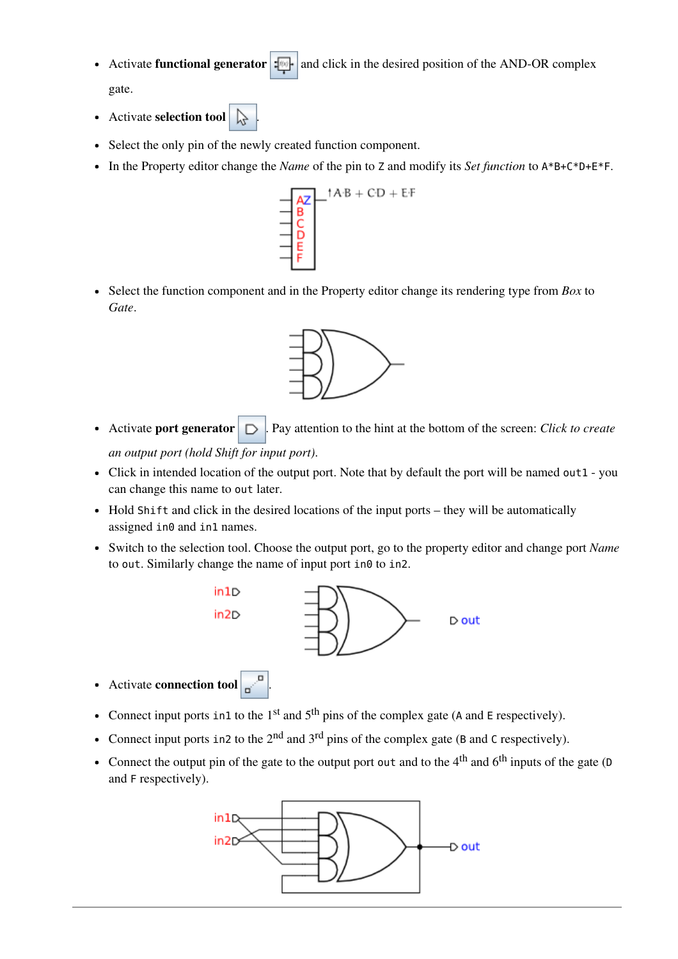- Activate **functional generator**  $\cdot$  and click in the desired position of the AND-OR complex gate.
- Activate selection tool
- Select the only pin of the newly created function component.
- In the Property editor change the *Name* of the pin to Zand modify its *Set function* to A\*B+C\*D+E\*F.



Select the function component and in the Property editor change its rendering type from *Box* to *Gate*.



- Activate **port generator**  $\Box$  Pay attention to the hint at the bottom of the screen: *Click to create an output port (hold Shift for input port)*.
- Click in intended location of the output port. Note that by default the port will be named out1 you can change this name to out later.
- $\bullet$  Hold Shift and click in the desired locations of the input ports they will be automatically assigned in0 and in1 names.
- Switch to the selection tool. Choose the output port, go to the property editor and change port *Name* to out. Similarly change the name of input port  $in\theta$  to in2.



- Activate connection tool
- Connect input ports in1 to the  $1<sup>st</sup>$  and  $5<sup>th</sup>$  pins of the complex gate (A and E respectively).
- Connect input ports in 2 to the  $2<sup>nd</sup>$  and  $3<sup>rd</sup>$  pins of the complex gate (B and C respectively).
- Connect the output pin of the gate to the output port out and to the  $4<sup>th</sup>$  and  $6<sup>th</sup>$  inputs of the gate (D and F respectively).

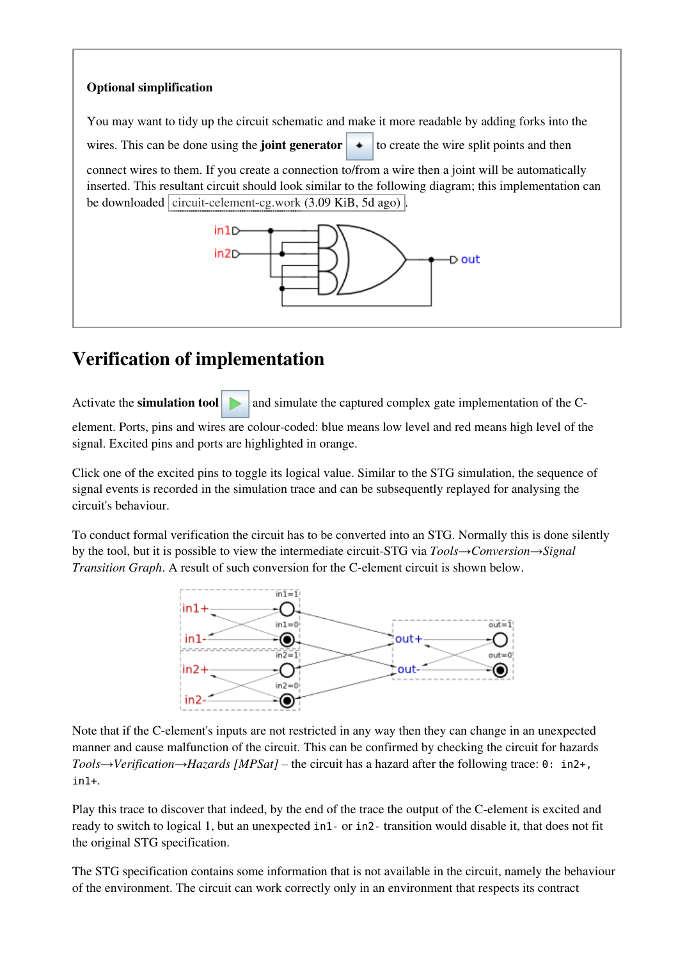

### Verification of implementation

Activate the **simulation tool**  $\Box$  and simulate the captured complex gate implementation of the C-

element. Ports, pins and wires are colour-coded: blue means low level and red means high level of the signal. Excited pins and ports are highlighted in orange.

Click one of the excited pins to toggle its logical value. Similar to the STG simulation, the sequence of signal events is recorded in the simulation trace and can be subsequently replayed for analysing the circuit's behaviour.

To conduct formal verification the circuit has to be converted into an STG. Normally this is done silently by the tool, but it is possible to view the intermediate circuit-STG via *Tools→Conversion→Signal Transition Graph*. A result of such conversion for the C-element circuit is shown below.



Note that if the C-element's inputs are not restricted in any way then they can change in an unexpected manner and cause malfunction of the circuit. This can be confirmed by checking the circuit for hazards *Tools→Verification→Hazards [MPSat]* – the circuit has a hazard after the following trace: 0: in2+, in1+.

Play this trace to discover that indeed, by the end of the trace the output of the C-element is excited and ready to switch to logical 1, but an unexpected in1- or in2-transition would disable it, that does not fit the original STG specification.

The STG specification contains some information that is not available in the circuit, namely the behaviour of the environment. The circuit can work correctly only in an environment that respects its contract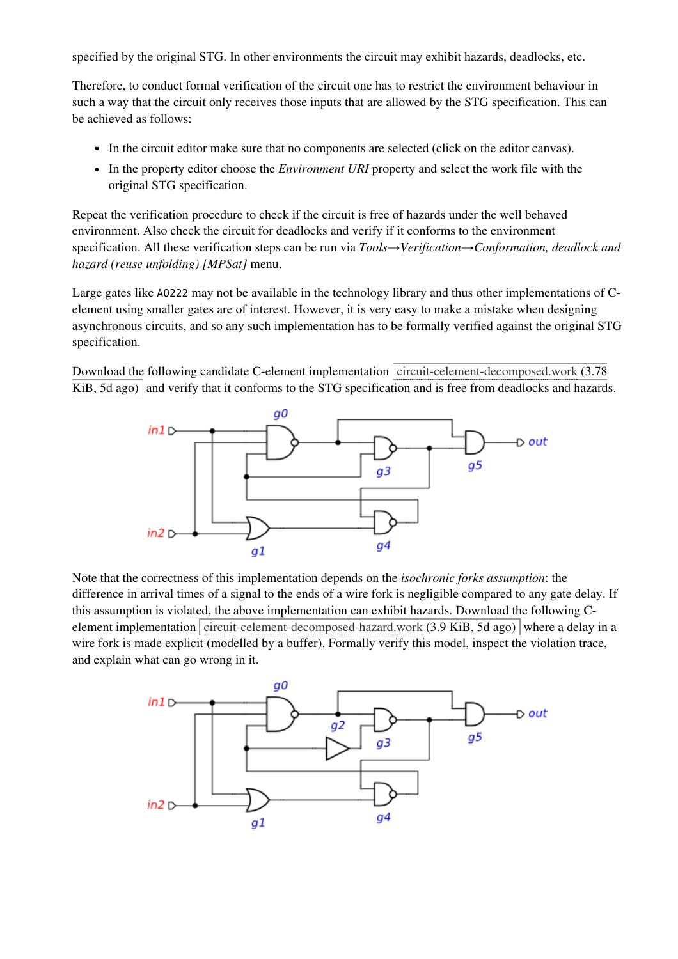specified by the original STG. In other environments the circuit may exhibit hazards, deadlocks, etc.

Therefore, to conduct formal verification of the circuit one has to restrict the environment behaviour in such a way that the circuit only receives those inputs that are allowed by the STG specification. This can be achieved as follows:

- In the circuit editor make sure that no components are selected (click on the editor canvas).
- In the property editor choose the *Environment URI* property and select the work file with the original STG specification.

Repeat the verification procedure to check if the circuit is free of hazards under the well behaved environment. Also check the circuit for deadlocks and verify if it conforms to the environment specification. All these verification steps can be run via *Tools→Verification→Conformation, deadlock and hazard (reuse unfolding) [MPSat]* menu.

Large gates like A0222 may not be available in the technology library and thus other implementations of Celement using smaller gates are of interest. However, it is very easy to make a mistake when designing asynchronous circuits, and so any such implementation has to be formally verified against the original STG specification.

Download the following candidate C-element implementation circuit-celement-decomposed.work (3.78) KiB, 5d ago) and verify that it conforms to the STG specification and is free from deadlocks and hazards.



Note that the correctness of this implementation depends on the *isochronic forks assumption*: the difference in arrival times of a signal to the ends of a wire fork is negligible compared to any gate delay. If this assumption is violated, the above implementation can exhibit hazards. Download the following Celement implementation circuit-celement-decomposed-hazard.work (3.9 KiB, 5d ago) where a delay in a wire fork is made explicit (modelled by a buffer). Formally verify this model, inspect the violation trace, and explain what can go wrong in it.

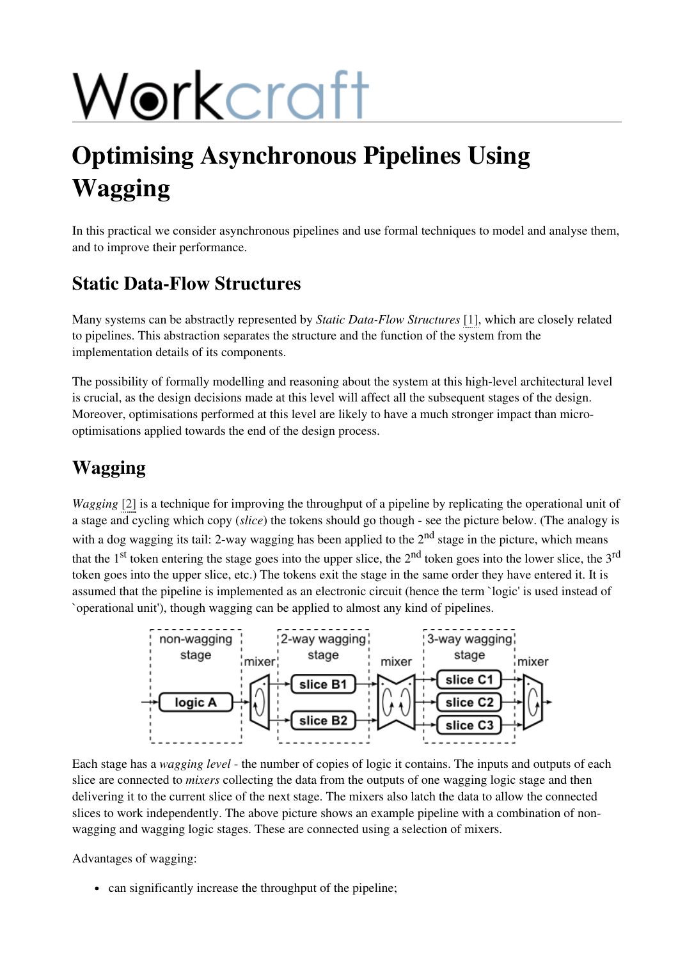# Workcraft

## Optimising Asynchronous Pipelines Using Wagging

In this practical we consider asynchronous pipelines and use formal techniques to model and analyse them, and to improve their performance.

#### Static Data-Flow Structures

Many systems can be abstractly represented by *Static Data-Flow Structures* [1], which are closely related to pipelines. This abstraction separates the structure and the function of the system from the implementation details of its components.

The possibility of formally modelling and reasoning about the system at this high-level architectural level is crucial, as the design decisions made at this level will affect all the subsequent stages of the design. Moreover, optimisations performed at this level are likely to have a much stronger impact than microoptimisations applied towards the end of the design process.

#### Wagging

*Wagging* [2] is a technique for improving the throughput of a pipeline by replicating the operational unit of a stage and cycling which copy (*slice*) the tokens should go though - see the picture below. (The analogy is with a dog wagging its tail: 2-way wagging has been applied to the  $2<sup>nd</sup>$  stage in the picture, which means that the  $1<sup>st</sup>$  token entering the stage goes into the upper slice, the  $2<sup>nd</sup>$  token goes into the lower slice, the  $3<sup>rd</sup>$ token goes into the upper slice, etc.) The tokens exit the stage in the same order they have entered it. It is assumed that the pipeline is implemented as an electronic circuit (hence the term `logic' is used instead of `operational unit'), though wagging can be applied to almost any kind of pipelines.



Each stage has a *wagging level* - the number of copies of logic it contains. The inputs and outputs of each slice are connected to *mixers* collecting the data from the outputs of one wagging logic stage and then delivering it to the current slice of the next stage. The mixers also latch the data to allow the connected slices to work independently. The above picture shows an example pipeline with a combination of nonwagging and wagging logic stages. These are connected using a selection of mixers.

Advantages of wagging:

• can significantly increase the throughput of the pipeline;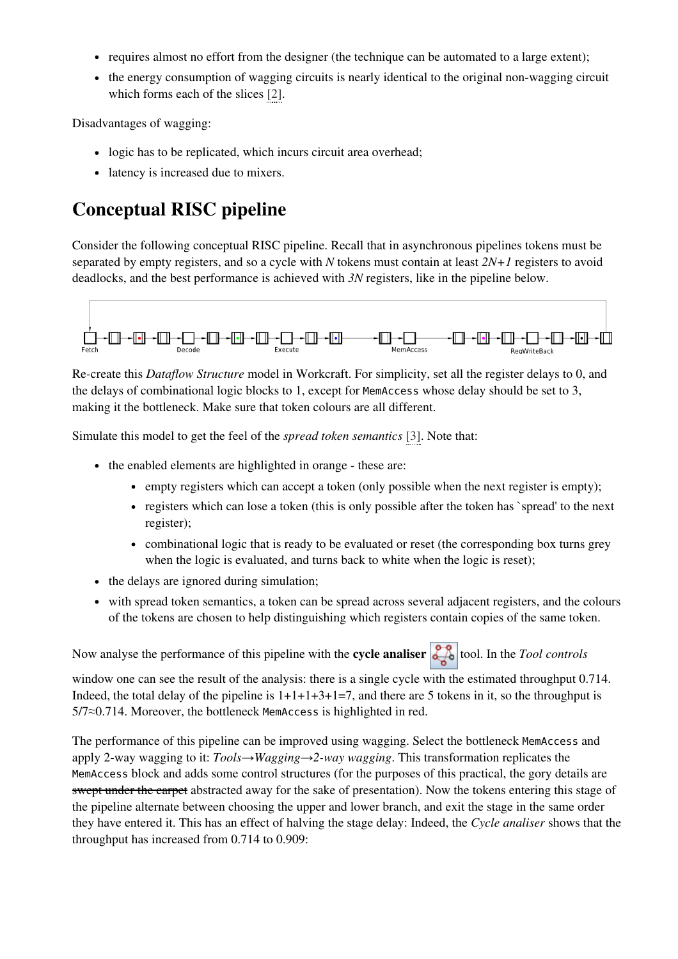- requires almost no effort from the designer (the technique can be automated to a large extent);
- the energy consumption of wagging circuits is nearly identical to the original non-wagging circuit which forms each of the slices [2].

Disadvantages of wagging:

- logic has to be replicated, which incurs circuit area overhead;
- latency is increased due to mixers.

### Conceptual RISC pipeline

Consider the following conceptual RISC pipeline. Recall that in asynchronous pipelines tokens must be separated by empty registers, and so a cycle with *N* tokens must contain at least *2N+1* registers to avoid deadlocks, and the best performance is achieved with *3N* registers, like in the pipeline below.



Re-create this *Dataflow Structure* model in Workcraft. For simplicity, set all the register delays to 0, and the delays of combinational logic blocks to 1, except for MemAccesswhose delay should be set to 3, making it the bottleneck. Make sure that token colours are all different.

Simulate this model to get the feel of the *spread token semantics* [3]. Note that:

- the enabled elements are highlighted in orange these are:
	- empty registers which can accept a token (only possible when the next register is empty);
	- registers which can lose a token (this is only possible after the token has `spread' to the next register);
	- combinational logic that is ready to be evaluated or reset (the corresponding box turns grey when the logic is evaluated, and turns back to white when the logic is reset);
- the delays are ignored during simulation;
- with spread token semantics, a token can be spread across several adjacent registers, and the colours of the tokens are chosen to help distinguishing which registers contain copies of the same token.

Now analyse the performance of this pipeline with the **cycle analiser** tool. In the *Tool controls* 

window one can see the result of the analysis: there is a single cycle with the estimated throughput 0.714. Indeed, the total delay of the pipeline is  $1+1+1+3+1=7$ , and there are 5 tokens in it, so the throughput is  $5/7 \approx 0.714$ . Moreover, the bottleneck MemAccess is highlighted in red.

The performance of this pipeline can be improved using wagging. Select the bottleneck MemAccessand apply 2-way wagging to it: *Tools→Wagging→2-way wagging*. This transformation replicates the MemAccessblock and adds some control structures (for the purposes of this practical, the gory details are swept under the carpet abstracted away for the sake of presentation). Now the tokens entering this stage of the pipeline alternate between choosing the upper and lower branch, and exit the stage in the same order they have entered it. This has an effect of halving the stage delay: Indeed, the *Cycle analiser* shows that the throughput has increased from 0.714 to 0.909: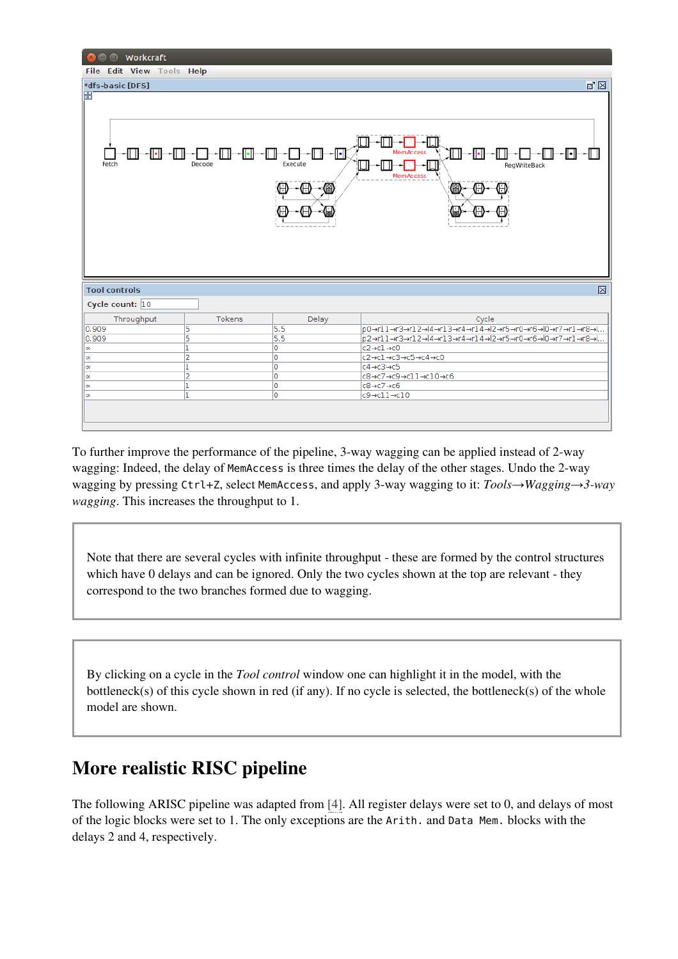| <b>O</b> Workcraft                                                                                                                             |                |       |                                                                                   |  |  |
|------------------------------------------------------------------------------------------------------------------------------------------------|----------------|-------|-----------------------------------------------------------------------------------|--|--|
| File Edit View Tools Help                                                                                                                      |                |       |                                                                                   |  |  |
| *dfs-basic [DFS]                                                                                                                               |                |       | ☑ ⊠                                                                               |  |  |
| H<br>-1611<br>-0--0<br>∼l⊡<br><b>MemAccess</b><br>-ll∙ H<br>וו ונ<br>Execute<br>Fetch<br>Decode<br>Reg WriteBack<br>MemAccess<br>(2<br>(R<br>Н |                |       |                                                                                   |  |  |
| <b>Tool controls</b>                                                                                                                           |                |       | 図                                                                                 |  |  |
| Cycle count: 10                                                                                                                                |                |       |                                                                                   |  |  |
| Throughput                                                                                                                                     | Tokens         | Delay | Cycle                                                                             |  |  |
| 0.909                                                                                                                                          | 5              | 5.5   | p0→r11→r3→r12→l4→r13→r4→r14→l2→r5→r0→r6→l0→r7→r1→r8→l                             |  |  |
| 0.909                                                                                                                                          | 5              | 5.5   | p2→r11→r3→r12→l4→r13→r4→r14→l2→r5→r0→r6→l0→r7→r1→r8→l                             |  |  |
| $\infty$                                                                                                                                       | ı              | Ō     | $c2 \rightarrow c1 \rightarrow c0$                                                |  |  |
| $\infty$                                                                                                                                       | $\overline{2}$ | Ō     | c2→c1→c3→c5→c4→c0                                                                 |  |  |
| $\infty$                                                                                                                                       | ı              | Ō     | $c4 \rightarrow c3 \rightarrow c5$                                                |  |  |
| $\infty$                                                                                                                                       | $\overline{2}$ | Ō     | $c8 \rightarrow c7 \rightarrow c9 \rightarrow c11 \rightarrow c10 \rightarrow c6$ |  |  |
| $\infty$                                                                                                                                       | 1              | 0     | $c8 \rightarrow c7 \rightarrow c6$                                                |  |  |
| $\infty$                                                                                                                                       | n              | Ō     | $c9 \rightarrow c11 \rightarrow c10$                                              |  |  |
|                                                                                                                                                |                |       |                                                                                   |  |  |

To further improve the performance of the pipeline, 3-way wagging can be applied instead of 2-way wagging: Indeed, the delay of MemAccess is three times the delay of the other stages. Undo the 2-way wagging by pressing Ctrl+Z, select MemAccess, and apply 3-way wagging to it: *Tools→Wagging→3-way wagging*. This increases the throughput to 1.

Note that there are several cycles with infinite throughput - these are formed by the control structures which have 0 delays and can be ignored. Only the two cycles shown at the top are relevant - they correspond to the two branches formed due to wagging.

By clicking on a cycle in the *Tool control* window one can highlight it in the model, with the bottleneck(s) of this cycle shown in red (if any). If no cycle is selected, the bottleneck(s) of the whole model are shown.

#### More realistic RISC pipeline

The following ARISC pipeline was adapted from [4]. All register delays were set to 0, and delays of most of the logic blocks were set to 1. The only exceptions are the Arith. and Data Mem. blocks with the delays 2 and 4, respectively.